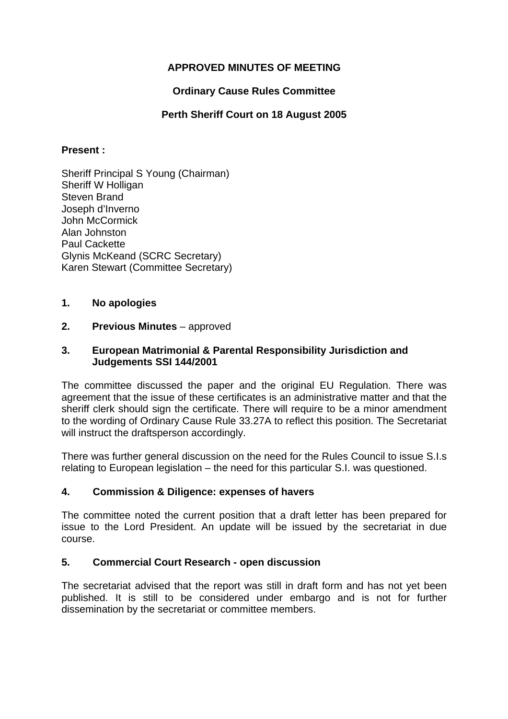# **APPROVED MINUTES OF MEETING**

# **Ordinary Cause Rules Committee**

## **Perth Sheriff Court on 18 August 2005**

## **Present :**

Sheriff Principal S Young (Chairman) Sheriff W Holligan Steven Brand Joseph d'Inverno John McCormick Alan Johnston Paul Cackette Glynis McKeand (SCRC Secretary) Karen Stewart (Committee Secretary)

## **1. No apologies**

## **2.** Previous Minutes – approved

## **3. European Matrimonial & Parental Responsibility Jurisdiction and Judgements SSI 144/2001**

The committee discussed the paper and the original EU Regulation. There was agreement that the issue of these certificates is an administrative matter and that the sheriff clerk should sign the certificate. There will require to be a minor amendment to the wording of Ordinary Cause Rule 33.27A to reflect this position. The Secretariat will instruct the draftsperson accordingly.

There was further general discussion on the need for the Rules Council to issue S.I.s relating to European legislation – the need for this particular S.I. was questioned.

## **4. Commission & Diligence: expenses of havers**

The committee noted the current position that a draft letter has been prepared for issue to the Lord President. An update will be issued by the secretariat in due course.

## **5. Commercial Court Research - open discussion**

The secretariat advised that the report was still in draft form and has not yet been published. It is still to be considered under embargo and is not for further dissemination by the secretariat or committee members.